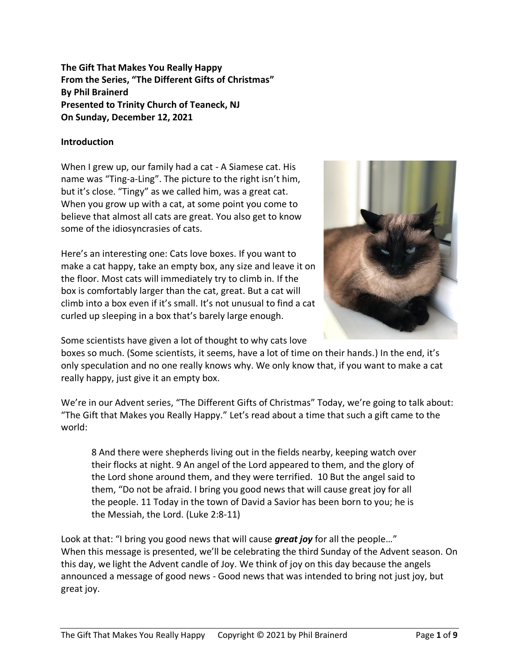**The Gift That Makes You Really Happy From the Series, "The Different Gifts of Christmas" By Phil Brainerd Presented to Trinity Church of Teaneck, NJ On Sunday, December 12, 2021**

### **Introduction**

When I grew up, our family had a cat - A Siamese cat. His name was "Ting-a-Ling". The picture to the right isn't him, but it's close. "Tingy" as we called him, was a great cat. When you grow up with a cat, at some point you come to believe that almost all cats are great. You also get to know some of the idiosyncrasies of cats.

Here's an interesting one: Cats love boxes. If you want to make a cat happy, take an empty box, any size and leave it on the floor. Most cats will immediately try to climb in. If the box is comfortably larger than the cat, great. But a cat will climb into a box even if it's small. It's not unusual to find a cat curled up sleeping in a box that's barely large enough.



Some scientists have given a lot of thought to why cats love

boxes so much. (Some scientists, it seems, have a lot of time on their hands.) In the end, it's only speculation and no one really knows why. We only know that, if you want to make a cat really happy, just give it an empty box.

We're in our Advent series, "The Different Gifts of Christmas" Today, we're going to talk about: "The Gift that Makes you Really Happy." Let's read about a time that such a gift came to the world:

8 And there were shepherds living out in the fields nearby, keeping watch over their flocks at night. 9 An angel of the Lord appeared to them, and the glory of the Lord shone around them, and they were terrified. 10 But the angel said to them, "Do not be afraid. I bring you good news that will cause great joy for all the people. 11 Today in the town of David a Savior has been born to you; he is the Messiah, the Lord. (Luke 2:8-11)

Look at that: "I bring you good news that will cause *great joy* for all the people…" When this message is presented, we'll be celebrating the third Sunday of the Advent season. On this day, we light the Advent candle of Joy. We think of joy on this day because the angels announced a message of good news - Good news that was intended to bring not just joy, but great joy.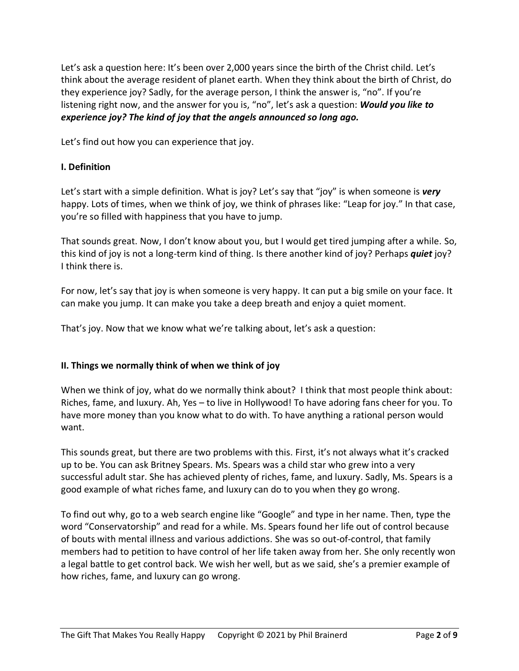Let's ask a question here: It's been over 2,000 years since the birth of the Christ child. Let's think about the average resident of planet earth. When they think about the birth of Christ, do they experience joy? Sadly, for the average person, I think the answer is, "no". If you're listening right now, and the answer for you is, "no", let's ask a question: *Would you like to experience joy? The kind of joy that the angels announced so long ago.*

Let's find out how you can experience that joy.

# **I. Definition**

Let's start with a simple definition. What is joy? Let's say that "joy" is when someone is *very* happy. Lots of times, when we think of joy, we think of phrases like: "Leap for joy." In that case, you're so filled with happiness that you have to jump.

That sounds great. Now, I don't know about you, but I would get tired jumping after a while. So, this kind of joy is not a long-term kind of thing. Is there another kind of joy? Perhaps *quiet* joy? I think there is.

For now, let's say that joy is when someone is very happy. It can put a big smile on your face. It can make you jump. It can make you take a deep breath and enjoy a quiet moment.

That's joy. Now that we know what we're talking about, let's ask a question:

# **II. Things we normally think of when we think of joy**

When we think of joy, what do we normally think about? I think that most people think about: Riches, fame, and luxury. Ah, Yes – to live in Hollywood! To have adoring fans cheer for you. To have more money than you know what to do with. To have anything a rational person would want.

This sounds great, but there are two problems with this. First, it's not always what it's cracked up to be. You can ask Britney Spears. Ms. Spears was a child star who grew into a very successful adult star. She has achieved plenty of riches, fame, and luxury. Sadly, Ms. Spears is a good example of what riches fame, and luxury can do to you when they go wrong.

To find out why, go to a web search engine like "Google" and type in her name. Then, type the word "Conservatorship" and read for a while. Ms. Spears found her life out of control because of bouts with mental illness and various addictions. She was so out-of-control, that family members had to petition to have control of her life taken away from her. She only recently won a legal battle to get control back. We wish her well, but as we said, she's a premier example of how riches, fame, and luxury can go wrong.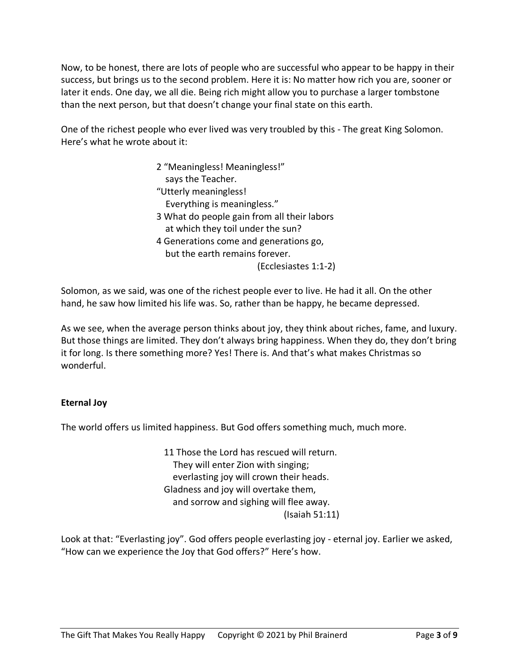Now, to be honest, there are lots of people who are successful who appear to be happy in their success, but brings us to the second problem. Here it is: No matter how rich you are, sooner or later it ends. One day, we all die. Being rich might allow you to purchase a larger tombstone than the next person, but that doesn't change your final state on this earth.

One of the richest people who ever lived was very troubled by this - The great King Solomon. Here's what he wrote about it:

> 2 "Meaningless! Meaningless!" says the Teacher. "Utterly meaningless! Everything is meaningless." 3 What do people gain from all their labors at which they toil under the sun? 4 Generations come and generations go, but the earth remains forever. (Ecclesiastes 1:1-2)

Solomon, as we said, was one of the richest people ever to live. He had it all. On the other hand, he saw how limited his life was. So, rather than be happy, he became depressed.

As we see, when the average person thinks about joy, they think about riches, fame, and luxury. But those things are limited. They don't always bring happiness. When they do, they don't bring it for long. Is there something more? Yes! There is. And that's what makes Christmas so wonderful.

# **Eternal Joy**

The world offers us limited happiness. But God offers something much, much more.

11 Those the Lord has rescued will return. They will enter Zion with singing; everlasting joy will crown their heads. Gladness and joy will overtake them, and sorrow and sighing will flee away. (Isaiah 51:11)

Look at that: "Everlasting joy". God offers people everlasting joy - eternal joy. Earlier we asked, "How can we experience the Joy that God offers?" Here's how.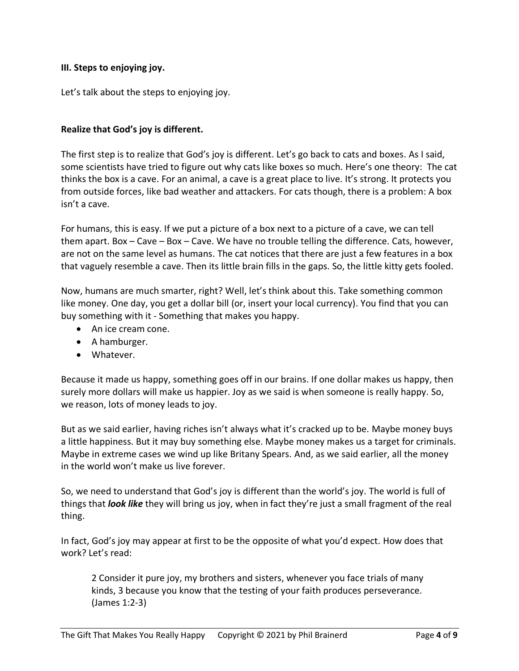### **III. Steps to enjoying joy.**

Let's talk about the steps to enjoying joy.

### **Realize that God's joy is different.**

The first step is to realize that God's joy is different. Let's go back to cats and boxes. As I said, some scientists have tried to figure out why cats like boxes so much. Here's one theory: The cat thinks the box is a cave. For an animal, a cave is a great place to live. It's strong. It protects you from outside forces, like bad weather and attackers. For cats though, there is a problem: A box isn't a cave.

For humans, this is easy. If we put a picture of a box next to a picture of a cave, we can tell them apart. Box – Cave – Box – Cave. We have no trouble telling the difference. Cats, however, are not on the same level as humans. The cat notices that there are just a few features in a box that vaguely resemble a cave. Then its little brain fills in the gaps. So, the little kitty gets fooled.

Now, humans are much smarter, right? Well, let's think about this. Take something common like money. One day, you get a dollar bill (or, insert your local currency). You find that you can buy something with it - Something that makes you happy.

- An ice cream cone.
- A hamburger.
- Whatever.

Because it made us happy, something goes off in our brains. If one dollar makes us happy, then surely more dollars will make us happier. Joy as we said is when someone is really happy. So, we reason, lots of money leads to joy.

But as we said earlier, having riches isn't always what it's cracked up to be. Maybe money buys a little happiness. But it may buy something else. Maybe money makes us a target for criminals. Maybe in extreme cases we wind up like Britany Spears. And, as we said earlier, all the money in the world won't make us live forever.

So, we need to understand that God's joy is different than the world's joy. The world is full of things that *look like* they will bring us joy, when in fact they're just a small fragment of the real thing.

In fact, God's joy may appear at first to be the opposite of what you'd expect. How does that work? Let's read:

2 Consider it pure joy, my brothers and sisters, whenever you face trials of many kinds, 3 because you know that the testing of your faith produces perseverance. (James 1:2-3)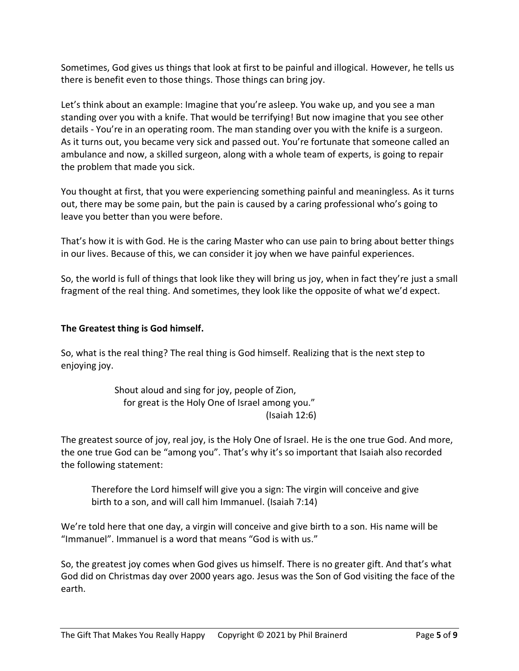Sometimes, God gives us things that look at first to be painful and illogical. However, he tells us there is benefit even to those things. Those things can bring joy.

Let's think about an example: Imagine that you're asleep. You wake up, and you see a man standing over you with a knife. That would be terrifying! But now imagine that you see other details - You're in an operating room. The man standing over you with the knife is a surgeon. As it turns out, you became very sick and passed out. You're fortunate that someone called an ambulance and now, a skilled surgeon, along with a whole team of experts, is going to repair the problem that made you sick.

You thought at first, that you were experiencing something painful and meaningless. As it turns out, there may be some pain, but the pain is caused by a caring professional who's going to leave you better than you were before.

That's how it is with God. He is the caring Master who can use pain to bring about better things in our lives. Because of this, we can consider it joy when we have painful experiences.

So, the world is full of things that look like they will bring us joy, when in fact they're just a small fragment of the real thing. And sometimes, they look like the opposite of what we'd expect.

# **The Greatest thing is God himself.**

So, what is the real thing? The real thing is God himself. Realizing that is the next step to enjoying joy.

> Shout aloud and sing for joy, people of Zion, for great is the Holy One of Israel among you." (Isaiah 12:6)

The greatest source of joy, real joy, is the Holy One of Israel. He is the one true God. And more, the one true God can be "among you". That's why it's so important that Isaiah also recorded the following statement:

Therefore the Lord himself will give you a sign: The virgin will conceive and give birth to a son, and will call him Immanuel. (Isaiah 7:14)

We're told here that one day, a virgin will conceive and give birth to a son. His name will be "Immanuel". Immanuel is a word that means "God is with us."

So, the greatest joy comes when God gives us himself. There is no greater gift. And that's what God did on Christmas day over 2000 years ago. Jesus was the Son of God visiting the face of the earth.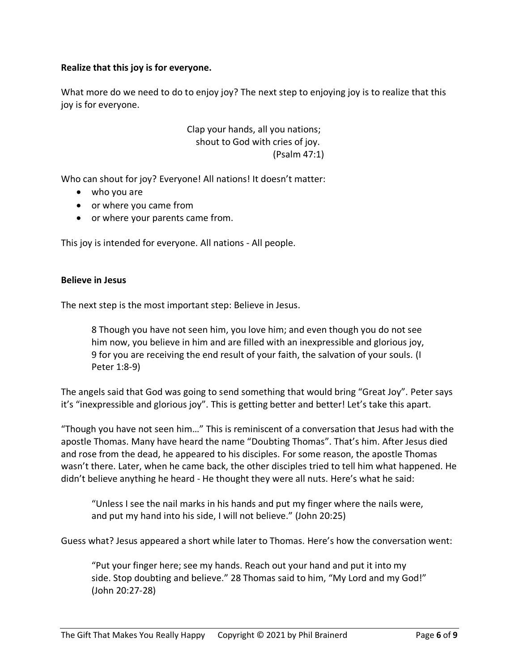### **Realize that this joy is for everyone.**

What more do we need to do to enjoy joy? The next step to enjoying joy is to realize that this joy is for everyone.

> Clap your hands, all you nations; shout to God with cries of joy. (Psalm 47:1)

Who can shout for joy? Everyone! All nations! It doesn't matter:

- who you are
- or where you came from
- or where your parents came from.

This joy is intended for everyone. All nations - All people.

#### **Believe in Jesus**

The next step is the most important step: Believe in Jesus.

8 Though you have not seen him, you love him; and even though you do not see him now, you believe in him and are filled with an inexpressible and glorious joy, 9 for you are receiving the end result of your faith, the salvation of your souls. (I Peter 1:8-9)

The angels said that God was going to send something that would bring "Great Joy". Peter says it's "inexpressible and glorious joy". This is getting better and better! Let's take this apart.

"Though you have not seen him…" This is reminiscent of a conversation that Jesus had with the apostle Thomas. Many have heard the name "Doubting Thomas". That's him. After Jesus died and rose from the dead, he appeared to his disciples. For some reason, the apostle Thomas wasn't there. Later, when he came back, the other disciples tried to tell him what happened. He didn't believe anything he heard - He thought they were all nuts. Here's what he said:

"Unless I see the nail marks in his hands and put my finger where the nails were, and put my hand into his side, I will not believe." (John 20:25)

Guess what? Jesus appeared a short while later to Thomas. Here's how the conversation went:

"Put your finger here; see my hands. Reach out your hand and put it into my side. Stop doubting and believe." 28 Thomas said to him, "My Lord and my God!" (John 20:27-28)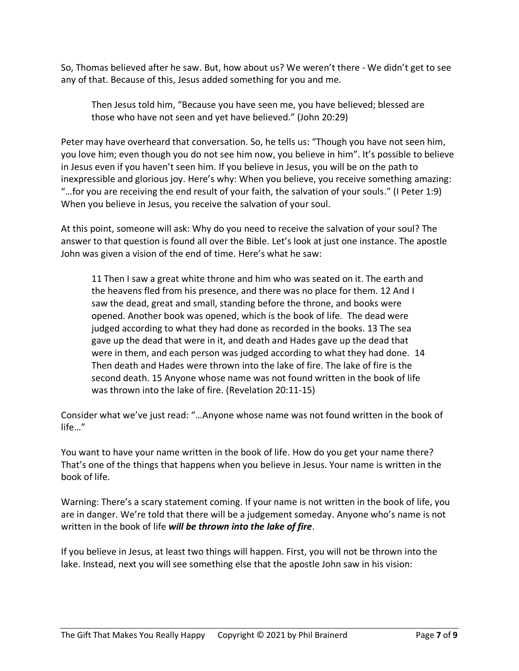So, Thomas believed after he saw. But, how about us? We weren't there - We didn't get to see any of that. Because of this, Jesus added something for you and me.

Then Jesus told him, "Because you have seen me, you have believed; blessed are those who have not seen and yet have believed." (John 20:29)

Peter may have overheard that conversation. So, he tells us: "Though you have not seen him, you love him; even though you do not see him now, you believe in him". It's possible to believe in Jesus even if you haven't seen him. If you believe in Jesus, you will be on the path to inexpressible and glorious joy. Here's why: When you believe, you receive something amazing: "…for you are receiving the end result of your faith, the salvation of your souls." (I Peter 1:9) When you believe in Jesus, you receive the salvation of your soul.

At this point, someone will ask: Why do you need to receive the salvation of your soul? The answer to that question is found all over the Bible. Let's look at just one instance. The apostle John was given a vision of the end of time. Here's what he saw:

11 Then I saw a great white throne and him who was seated on it. The earth and the heavens fled from his presence, and there was no place for them. 12 And I saw the dead, great and small, standing before the throne, and books were opened. Another book was opened, which is the book of life. The dead were judged according to what they had done as recorded in the books. 13 The sea gave up the dead that were in it, and death and Hades gave up the dead that were in them, and each person was judged according to what they had done. 14 Then death and Hades were thrown into the lake of fire. The lake of fire is the second death. 15 Anyone whose name was not found written in the book of life was thrown into the lake of fire. (Revelation 20:11-15)

Consider what we've just read: "…Anyone whose name was not found written in the book of life…"

You want to have your name written in the book of life. How do you get your name there? That's one of the things that happens when you believe in Jesus. Your name is written in the book of life.

Warning: There's a scary statement coming. If your name is not written in the book of life, you are in danger. We're told that there will be a judgement someday. Anyone who's name is not written in the book of life *will be thrown into the lake of fire*.

If you believe in Jesus, at least two things will happen. First, you will not be thrown into the lake. Instead, next you will see something else that the apostle John saw in his vision: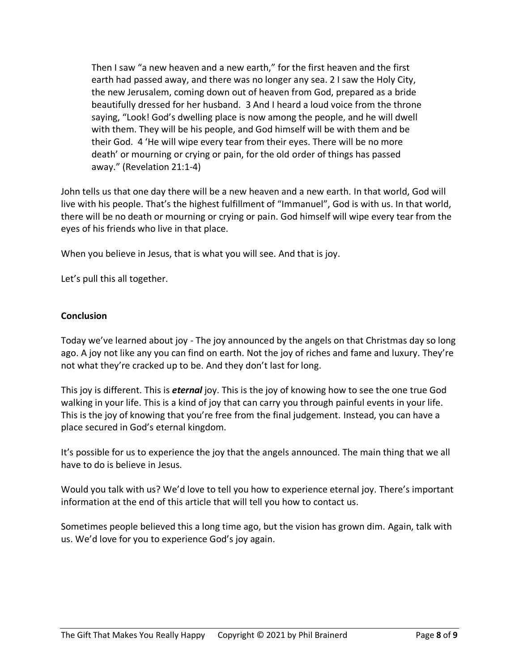Then I saw "a new heaven and a new earth," for the first heaven and the first earth had passed away, and there was no longer any sea. 2 I saw the Holy City, the new Jerusalem, coming down out of heaven from God, prepared as a bride beautifully dressed for her husband. 3 And I heard a loud voice from the throne saying, "Look! God's dwelling place is now among the people, and he will dwell with them. They will be his people, and God himself will be with them and be their God. 4 'He will wipe every tear from their eyes. There will be no more death' or mourning or crying or pain, for the old order of things has passed away." (Revelation 21:1-4)

John tells us that one day there will be a new heaven and a new earth. In that world, God will live with his people. That's the highest fulfillment of "Immanuel", God is with us. In that world, there will be no death or mourning or crying or pain. God himself will wipe every tear from the eyes of his friends who live in that place.

When you believe in Jesus, that is what you will see. And that is joy.

Let's pull this all together.

#### **Conclusion**

Today we've learned about joy - The joy announced by the angels on that Christmas day so long ago. A joy not like any you can find on earth. Not the joy of riches and fame and luxury. They're not what they're cracked up to be. And they don't last for long.

This joy is different. This is *eternal* joy. This is the joy of knowing how to see the one true God walking in your life. This is a kind of joy that can carry you through painful events in your life. This is the joy of knowing that you're free from the final judgement. Instead, you can have a place secured in God's eternal kingdom.

It's possible for us to experience the joy that the angels announced. The main thing that we all have to do is believe in Jesus.

Would you talk with us? We'd love to tell you how to experience eternal joy. There's important information at the end of this article that will tell you how to contact us.

Sometimes people believed this a long time ago, but the vision has grown dim. Again, talk with us. We'd love for you to experience God's joy again.